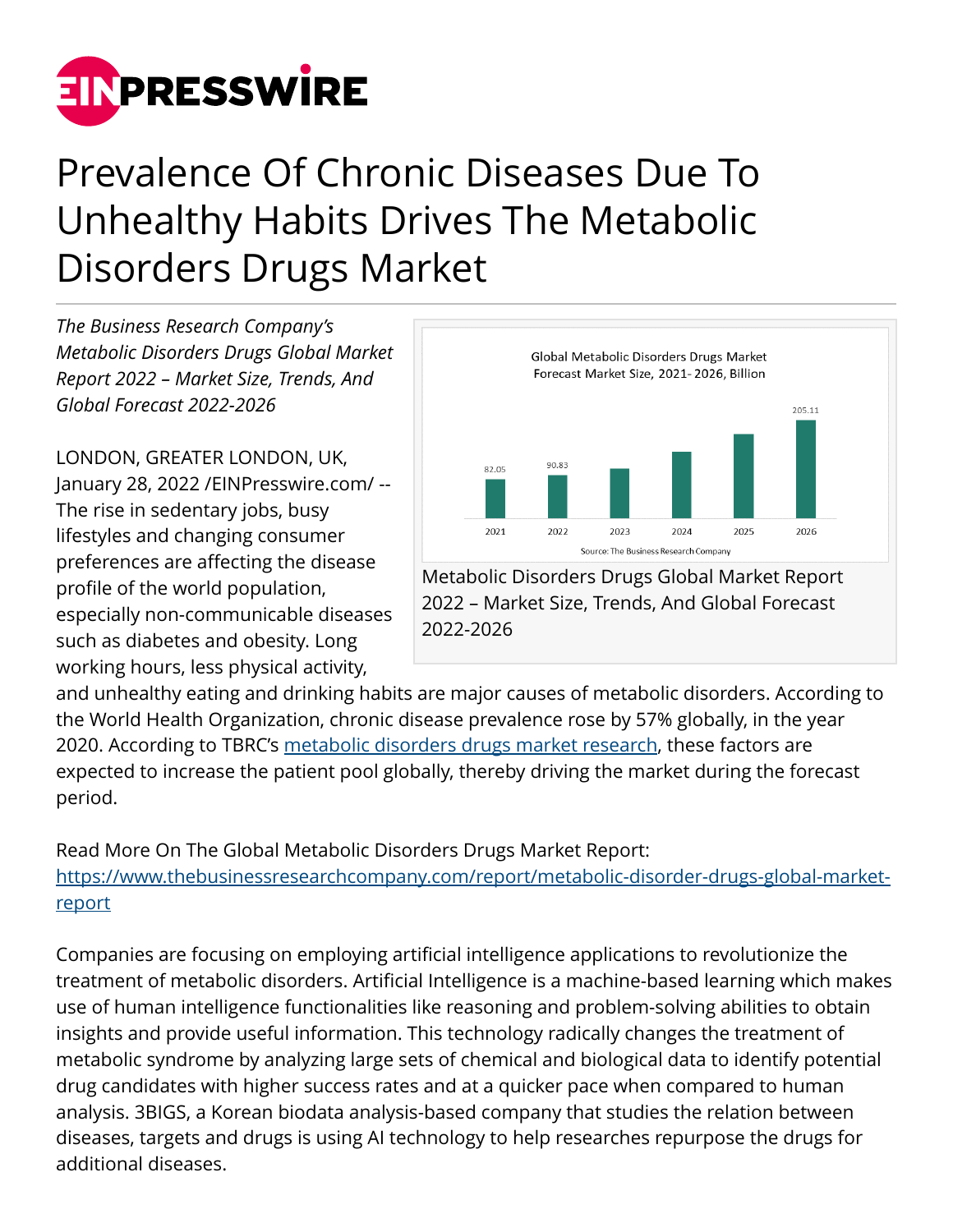

## Prevalence Of Chronic Diseases Due To Unhealthy Habits Drives The Metabolic Disorders Drugs Market

*The Business Research Company's Metabolic Disorders Drugs Global Market Report 2022 – Market Size, Trends, And Global Forecast 2022-2026*

LONDON, GREATER LONDON, UK, January 28, 2022 /[EINPresswire.com](http://www.einpresswire.com)/ -- The rise in sedentary jobs, busy lifestyles and changing consumer preferences are affecting the disease profile of the world population, especially non-communicable diseases such as diabetes and obesity. Long working hours, less physical activity,



2022 – Market Size, Trends, And Global Forecast 2022-2026

and unhealthy eating and drinking habits are major causes of metabolic disorders. According to the World Health Organization, chronic disease prevalence rose by 57% globally, in the year 2020. According to TBRC's [metabolic disorders drugs market research,](https://www.thebusinessresearchcompany.com/report/metabolic-disorder-drugs-global-market-report) these factors are expected to increase the patient pool globally, thereby driving the market during the forecast period.

Read More On The Global Metabolic Disorders Drugs Market Report: [https://www.thebusinessresearchcompany.com/report/metabolic-disorder-drugs-global-market](https://www.thebusinessresearchcompany.com/report/metabolic-disorder-drugs-global-market-report)[report](https://www.thebusinessresearchcompany.com/report/metabolic-disorder-drugs-global-market-report)

Companies are focusing on employing artificial intelligence applications to revolutionize the treatment of metabolic disorders. Artificial Intelligence is a machine-based learning which makes use of human intelligence functionalities like reasoning and problem-solving abilities to obtain insights and provide useful information. This technology radically changes the treatment of metabolic syndrome by analyzing large sets of chemical and biological data to identify potential drug candidates with higher success rates and at a quicker pace when compared to human analysis. 3BIGS, a Korean biodata analysis-based company that studies the relation between diseases, targets and drugs is using AI technology to help researches repurpose the drugs for additional diseases.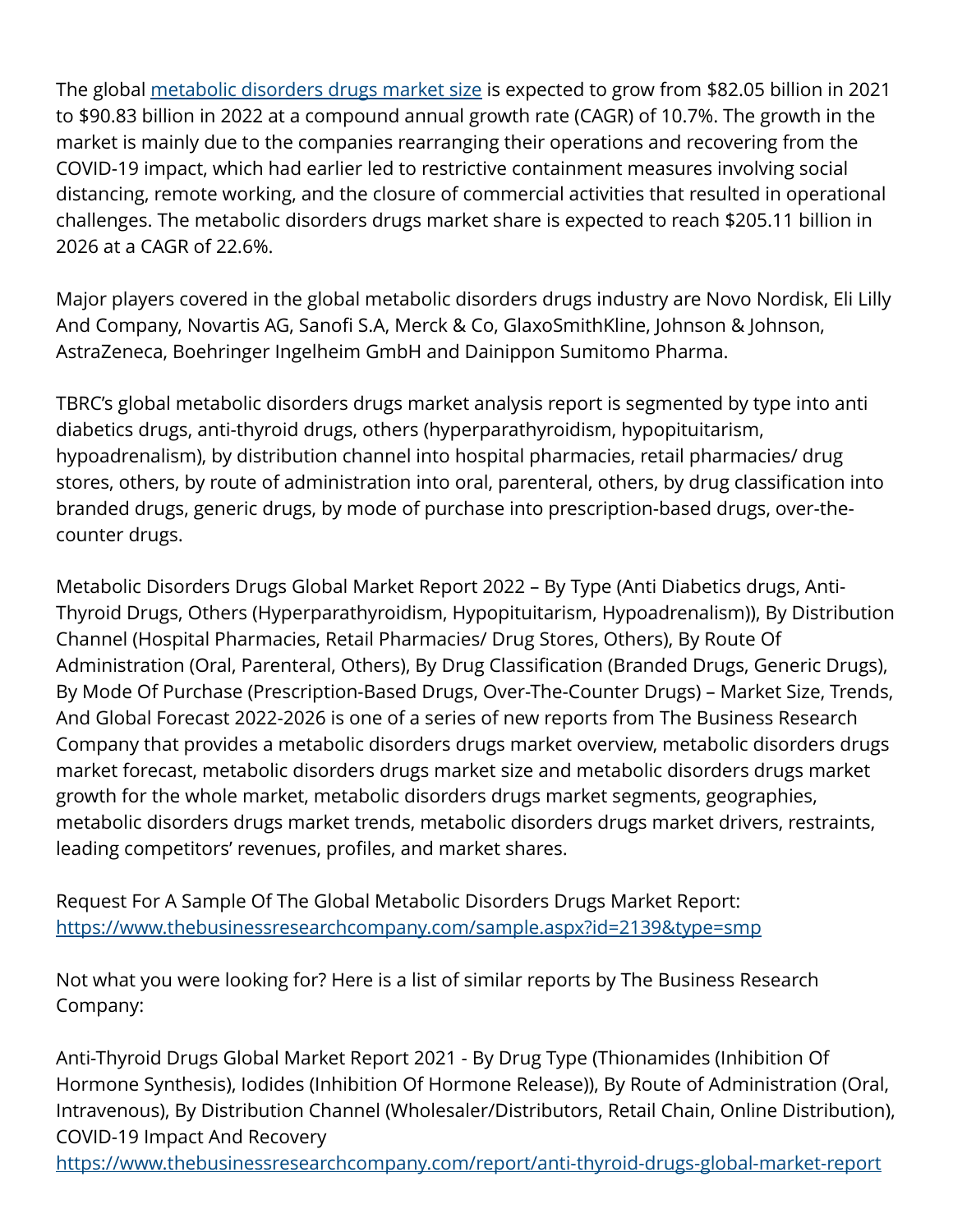The global [metabolic disorders drugs market size](https://www.thebusinessresearchcompany.com/report/metabolic-disorder-drugs-global-market-report) is expected to grow from \$82.05 billion in 2021 to \$90.83 billion in 2022 at a compound annual growth rate (CAGR) of 10.7%. The growth in the market is mainly due to the companies rearranging their operations and recovering from the COVID-19 impact, which had earlier led to restrictive containment measures involving social distancing, remote working, and the closure of commercial activities that resulted in operational challenges. The metabolic disorders drugs market share is expected to reach \$205.11 billion in 2026 at a CAGR of 22.6%.

Major players covered in the global metabolic disorders drugs industry are Novo Nordisk, Eli Lilly And Company, Novartis AG, Sanofi S.A, Merck & Co, GlaxoSmithKline, Johnson & Johnson, AstraZeneca, Boehringer Ingelheim GmbH and Dainippon Sumitomo Pharma.

TBRC's global metabolic disorders drugs market analysis report is segmented by type into anti diabetics drugs, anti-thyroid drugs, others (hyperparathyroidism, hypopituitarism, hypoadrenalism), by distribution channel into hospital pharmacies, retail pharmacies/ drug stores, others, by route of administration into oral, parenteral, others, by drug classification into branded drugs, generic drugs, by mode of purchase into prescription-based drugs, over-thecounter drugs.

Metabolic Disorders Drugs Global Market Report 2022 – By Type (Anti Diabetics drugs, Anti-Thyroid Drugs, Others (Hyperparathyroidism, Hypopituitarism, Hypoadrenalism)), By Distribution Channel (Hospital Pharmacies, Retail Pharmacies/ Drug Stores, Others), By Route Of Administration (Oral, Parenteral, Others), By Drug Classification (Branded Drugs, Generic Drugs), By Mode Of Purchase (Prescription-Based Drugs, Over-The-Counter Drugs) – Market Size, Trends, And Global Forecast 2022-2026 is one of a series of new reports from The Business Research Company that provides a metabolic disorders drugs market overview, metabolic disorders drugs market forecast, metabolic disorders drugs market size and metabolic disorders drugs market growth for the whole market, metabolic disorders drugs market segments, geographies, metabolic disorders drugs market trends, metabolic disorders drugs market drivers, restraints, leading competitors' revenues, profiles, and market shares.

Request For A Sample Of The Global Metabolic Disorders Drugs Market Report: <https://www.thebusinessresearchcompany.com/sample.aspx?id=2139&type=smp>

Not what you were looking for? Here is a list of similar reports by The Business Research Company:

Anti-Thyroid Drugs Global Market Report 2021 - By Drug Type (Thionamides (Inhibition Of Hormone Synthesis), Iodides (Inhibition Of Hormone Release)), By Route of Administration (Oral, Intravenous), By Distribution Channel (Wholesaler/Distributors, Retail Chain, Online Distribution), COVID-19 Impact And Recovery

<https://www.thebusinessresearchcompany.com/report/anti-thyroid-drugs-global-market-report>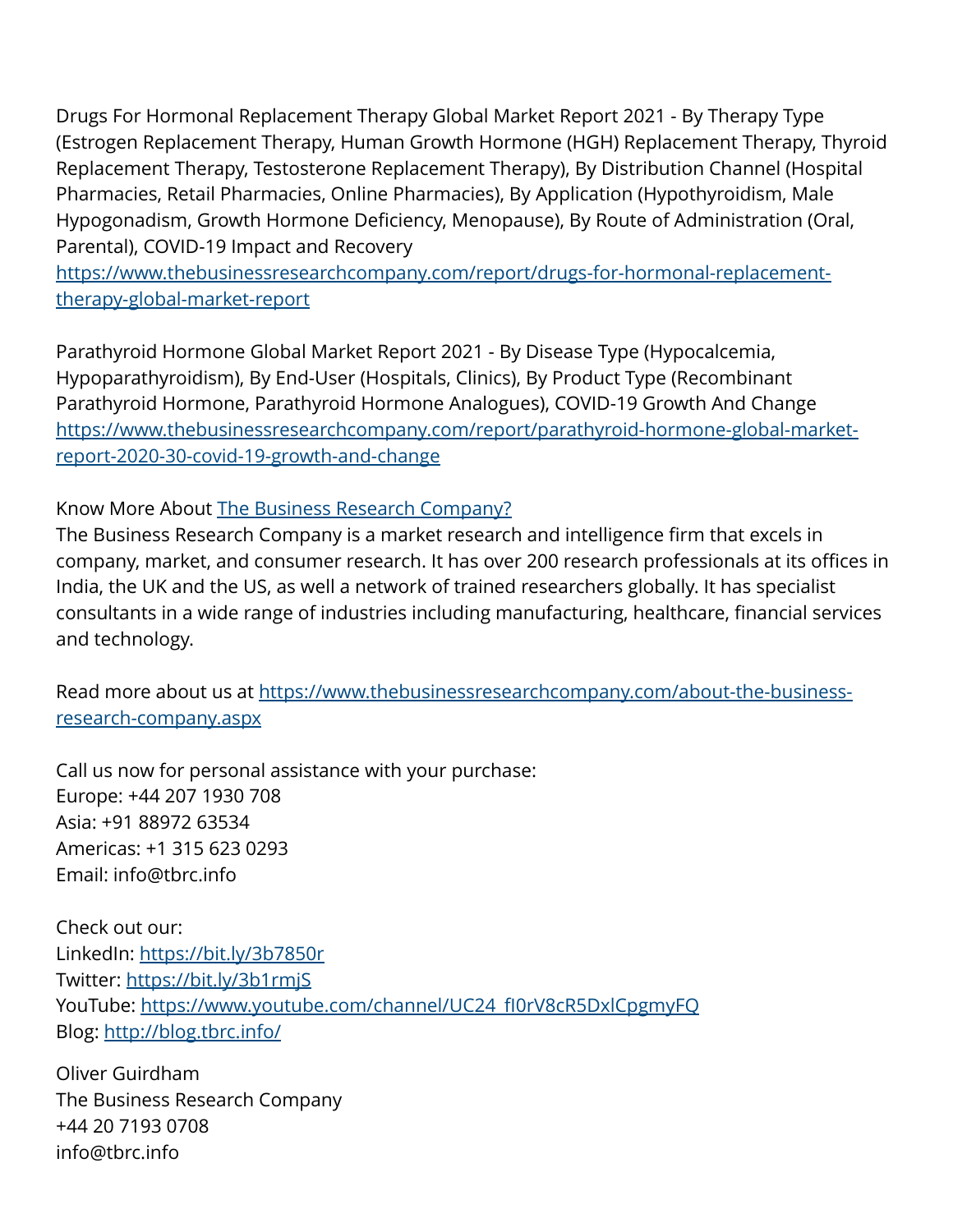Drugs For Hormonal Replacement Therapy Global Market Report 2021 - By Therapy Type (Estrogen Replacement Therapy, Human Growth Hormone (HGH) Replacement Therapy, Thyroid Replacement Therapy, Testosterone Replacement Therapy), By Distribution Channel (Hospital Pharmacies, Retail Pharmacies, Online Pharmacies), By Application (Hypothyroidism, Male Hypogonadism, Growth Hormone Deficiency, Menopause), By Route of Administration (Oral, Parental), COVID-19 Impact and Recovery

[https://www.thebusinessresearchcompany.com/report/drugs-for-hormonal-replacement](https://www.thebusinessresearchcompany.com/report/drugs-for-hormonal-replacement-therapy-global-market-report)[therapy-global-market-report](https://www.thebusinessresearchcompany.com/report/drugs-for-hormonal-replacement-therapy-global-market-report)

Parathyroid Hormone Global Market Report 2021 - By Disease Type (Hypocalcemia, Hypoparathyroidism), By End-User (Hospitals, Clinics), By Product Type (Recombinant Parathyroid Hormone, Parathyroid Hormone Analogues), COVID-19 Growth And Change [https://www.thebusinessresearchcompany.com/report/parathyroid-hormone-global-market](https://www.thebusinessresearchcompany.com/report/parathyroid-hormone-global-market-report-2020-30-covid-19-growth-and-change)[report-2020-30-covid-19-growth-and-change](https://www.thebusinessresearchcompany.com/report/parathyroid-hormone-global-market-report-2020-30-covid-19-growth-and-change)

Know More About [The Business Research Company?](https://www.thebusinessresearchcompany.com/)

The Business Research Company is a market research and intelligence firm that excels in company, market, and consumer research. It has over 200 research professionals at its offices in India, the UK and the US, as well a network of trained researchers globally. It has specialist consultants in a wide range of industries including manufacturing, healthcare, financial services and technology.

Read more about us at [https://www.thebusinessresearchcompany.com/about-the-business](https://www.thebusinessresearchcompany.com/about-the-business-research-company.aspx)[research-company.aspx](https://www.thebusinessresearchcompany.com/about-the-business-research-company.aspx)

Call us now for personal assistance with your purchase: Europe: +44 207 1930 708 Asia: +91 88972 63534 Americas: +1 315 623 0293 Email: info@tbrc.info

Check out our: LinkedIn: <https://bit.ly/3b7850r> Twitter:<https://bit.ly/3b1rmjS> YouTube: [https://www.youtube.com/channel/UC24\\_fI0rV8cR5DxlCpgmyFQ](https://www.youtube.com/channel/UC24_fI0rV8cR5DxlCpgmyFQ) Blog: <http://blog.tbrc.info/>

Oliver Guirdham The Business Research Company +44 20 7193 0708 info@tbrc.info